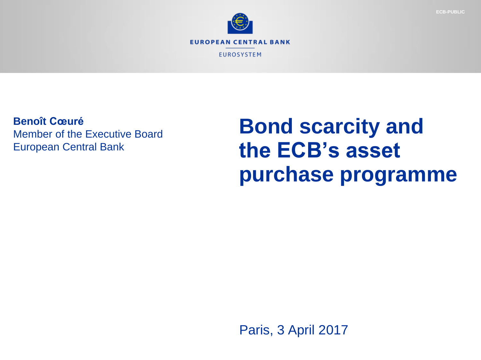

**Benoît Cœuré** Member of the Executive Board European Central Bank

# **Bond scarcity and the ECB's asset purchase programme**

Paris, 3 April 2017

**ECB-PUBLIC**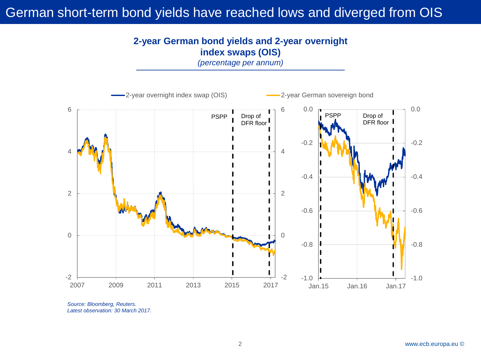## German short-term bond yields have reached lows and diverged from OIS

#### **2-year German bond yields and 2-year overnight index swaps (OIS)**

*(percentage per annum)*



*Source: Bloomberg, Reuters. Latest observation: 30 March 2017.*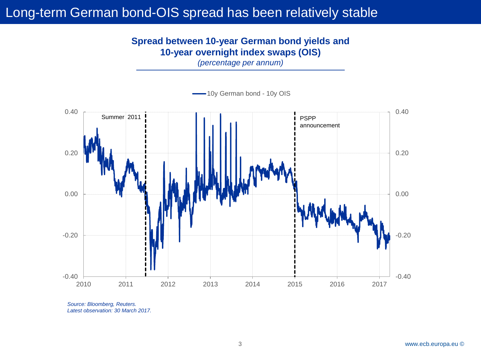## Long-term German bond-OIS spread has been relatively stable

### **Spread between 10-year German bond yields and 10-year overnight index swaps (OIS)**

*(percentage per annum)*



*Source: Bloomberg, Reuters. Latest observation: 30 March 2017.*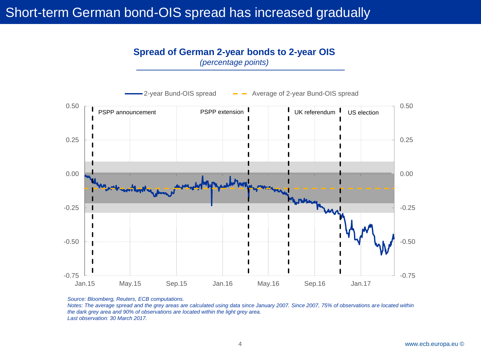## Short-term German bond-OIS spread has increased gradually

#### **Spread of German 2-year bonds to 2-year OIS** *(percentage points)*



*Source: Bloomberg, Reuters, ECB computations.* 

*Notes: The average spread and the grey areas are calculated using data since January 2007. Since 2007, 75% of observations are located within the dark grey area and 90% of observations are located within the light grey area. Last observation: 30 March 2017.*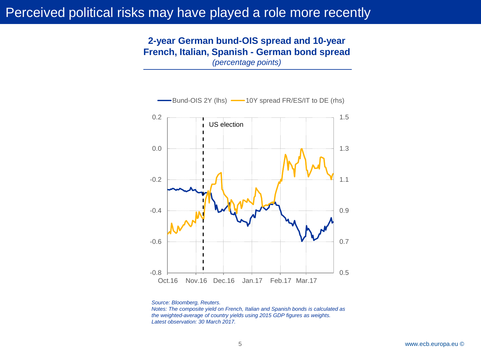## Perceived political risks may have played a role more recently

#### **2-year German bund-OIS spread and 10-year French, Italian, Spanish - German bond spread** *(percentage points)*



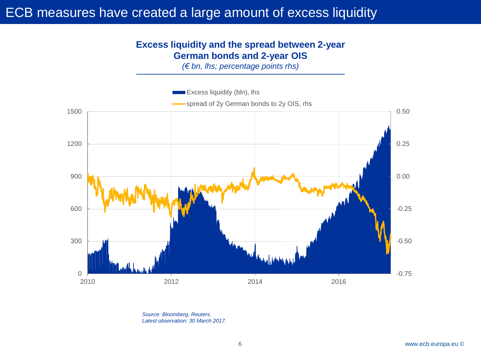## ECB measures have created a large amount of excess liquidity

#### **Excess liquidity and the spread between 2-year German bonds and 2-year OIS**

*(€ bn, lhs; percentage points rhs)*



*Source: Bloomberg, Reuters. Latest observation: 30 March 2017.*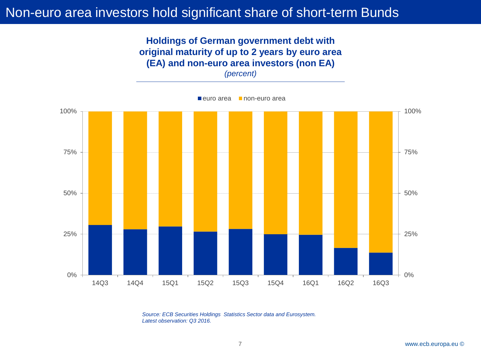## Non-euro area investors hold significant share of short-term Bunds

#### **Holdings of German government debt with original maturity of up to 2 years by euro area (EA) and non-euro area investors (non EA)** *(percent)*



*Source: ECB Securities Holdings Statistics Sector data and Eurosystem. Latest observation: Q3 2016.*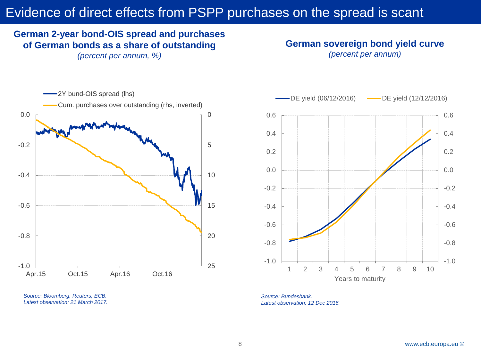## Evidence of direct effects from PSPP purchases on the spread is scant

## **German 2-year bond-OIS spread and purchases of German bonds as a share of outstanding**

*(percent per annum, %)*

## **German sovereign bond yield curve**

*(percent per annum)*



*Source: Bloomberg, Reuters, ECB. Latest observation: 21 March 2017.*



*Source: Bundesbank. Latest observation: 12 Dec 2016.*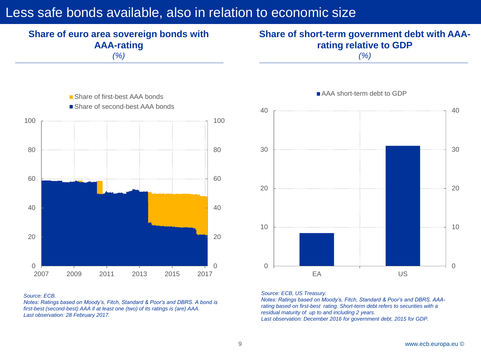## Less safe bonds available, also in relation to economic size



*(%)*

### **Share of short-term government debt with AAArating relative to GDP**

*(%)*



#### *Source: ECB.*

*Notes: Ratings based on Moody's, Fitch, Standard & Poor's and DBRS. A bond is first-best (second-best) AAA if at least one (two) of its ratings is (are) AAA. Last observation: 28 February 2017.*



#### *Source: ECB, US Treasury.*

*Notes: Ratings based on Moody's, Fitch, Standard & Poor's and DBRS. AAArating based on first-best rating. Short-term debt refers to securities with a residual maturity of up to and including 2 years. Last observation: December 2016 for government debt, 2015 for GDP.*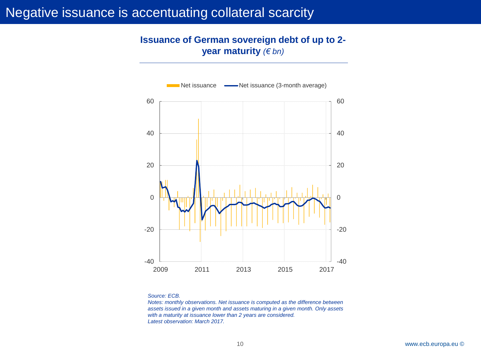## Negative issuance is accentuating collateral scarcity

#### **Issuance of German sovereign debt of up to 2 year maturity** *(€ bn)*